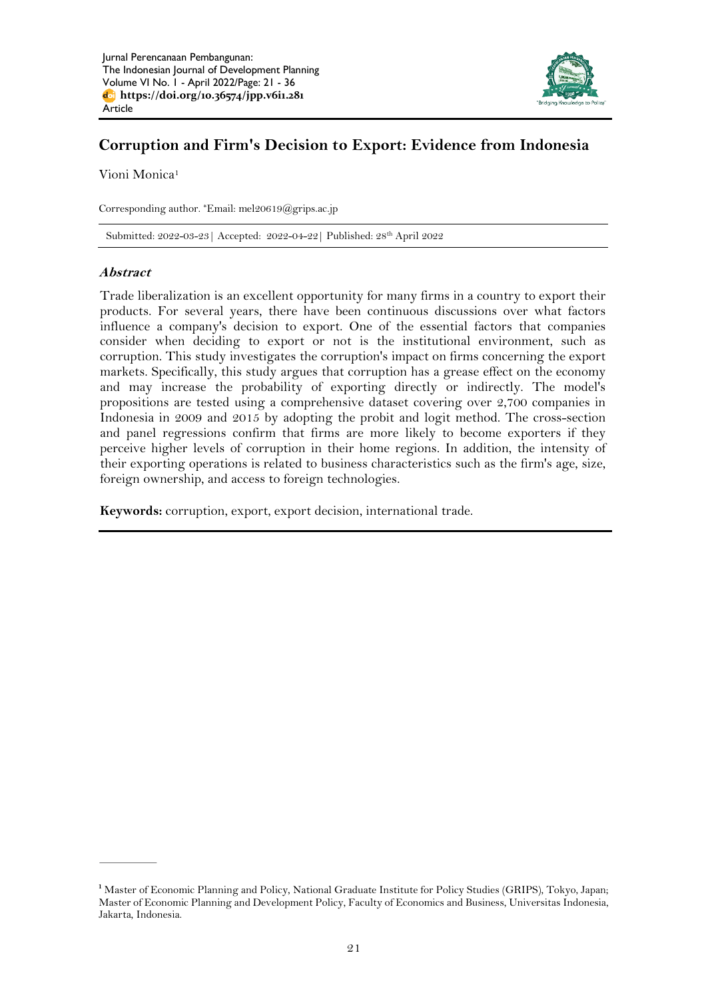

# **Corruption and Firm's Decision to Export: Evidence from Indonesia**

Vioni Monica<sup>1</sup>

Corresponding author. \*Email: [mel20619@grips.ac.jp](mailto:mel20619@grips.ac.jp)

Submitted: 2022-03-23| Accepted: 2022-04-22| Published: 28 th April 2022

# **Abstract**

Trade liberalization is an excellent opportunity for many firms in a country to export their products. For several years, there have been continuous discussions over what factors influence a company's decision to export. One of the essential factors that companies consider when deciding to export or not is the institutional environment, such as corruption. This study investigates the corruption's impact on firms concerning the export markets. Specifically, this study argues that corruption has a grease effect on the economy and may increase the probability of exporting directly or indirectly. The model's propositions are tested using a comprehensive dataset covering over 2,700 companies in Indonesia in 2009 and 2015 by adopting the probit and logit method. The cross-section and panel regressions confirm that firms are more likely to become exporters if they perceive higher levels of corruption in their home regions. In addition, the intensity of their exporting operations is related to business characteristics such as the firm's age, size, foreign ownership, and access to foreign technologies.

**Keywords:** corruption, export, export decision, international trade.

<sup>&</sup>lt;sup>1</sup> Master of Economic Planning and Policy, National Graduate Institute for Policy Studies (GRIPS), Tokyo, Japan; Master of Economic Planning and Development Policy, Faculty of Economics and Business, Universitas Indonesia, Jakarta, Indonesia.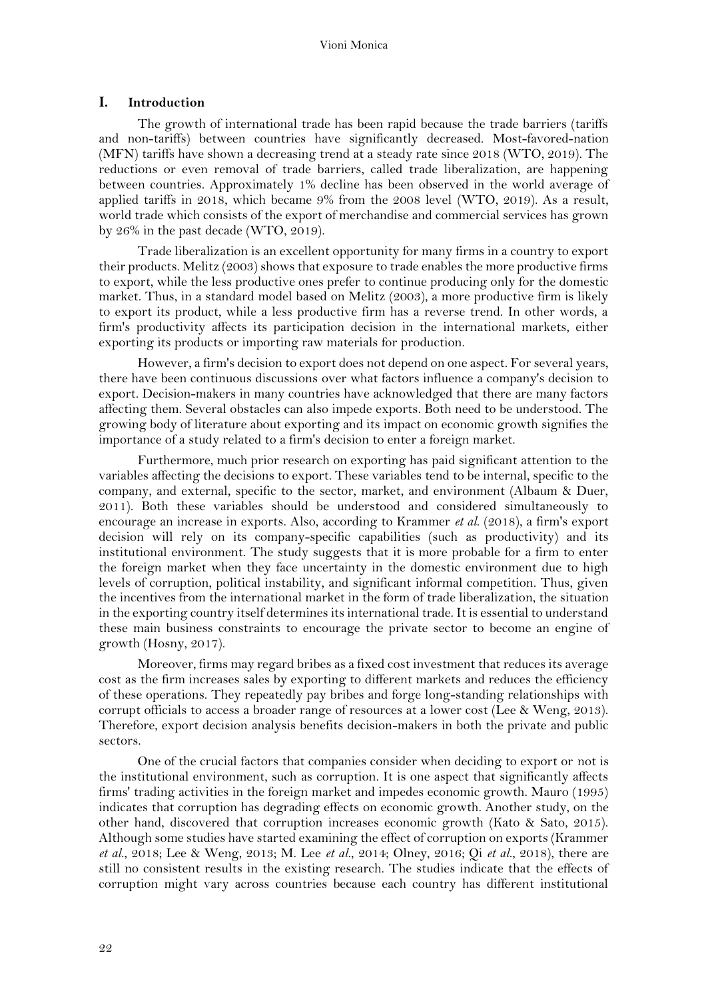## **I. Introduction**

The growth of international trade has been rapid because the trade barriers (tariffs and non-tariffs) between countries have significantly decreased. Most-favored-nation (MFN) tariffs have shown a decreasing trend at a steady rate since 2018 (WTO, 2019). The reductions or even removal of trade barriers, called trade liberalization, are happening between countries. Approximately 1% decline has been observed in the world average of applied tariffs in 2018, which became 9% from the 2008 level (WTO, 2019). As a result, world trade which consists of the export of merchandise and commercial services has grown by 26% in the past decade (WTO, 2019).

Trade liberalization is an excellent opportunity for many firms in a country to export their products. Melitz (2003) shows that exposure to trade enables the more productive firms to export, while the less productive ones prefer to continue producing only for the domestic market. Thus, in a standard model based on Melitz (2003), a more productive firm is likely to export its product, while a less productive firm has a reverse trend. In other words, a firm's productivity affects its participation decision in the international markets, either exporting its products or importing raw materials for production.

However, a firm's decision to export does not depend on one aspect. For several years, there have been continuous discussions over what factors influence a company's decision to export. Decision-makers in many countries have acknowledged that there are many factors affecting them. Several obstacles can also impede exports. Both need to be understood. The growing body of literature about exporting and its impact on economic growth signifies the importance of a study related to a firm's decision to enter a foreign market.

Furthermore, much prior research on exporting has paid significant attention to the variables affecting the decisions to export. These variables tend to be internal, specific to the company, and external, specific to the sector, market, and environment (Albaum & Duer, 2011). Both these variables should be understood and considered simultaneously to encourage an increase in exports. Also, according to Krammer *et al*. (2018), a firm's export decision will rely on its company-specific capabilities (such as productivity) and its institutional environment. The study suggests that it is more probable for a firm to enter the foreign market when they face uncertainty in the domestic environment due to high levels of corruption, political instability, and significant informal competition. Thus, given the incentives from the international market in the form of trade liberalization, the situation in the exporting country itself determines its international trade. It is essential to understand these main business constraints to encourage the private sector to become an engine of growth (Hosny, 2017).

Moreover, firms may regard bribes as a fixed cost investment that reduces its average cost as the firm increases sales by exporting to different markets and reduces the efficiency of these operations. They repeatedly pay bribes and forge long-standing relationships with corrupt officials to access a broader range of resources at a lower cost (Lee & Weng, 2013). Therefore, export decision analysis benefits decision-makers in both the private and public sectors.

One of the crucial factors that companies consider when deciding to export or not is the institutional environment, such as corruption. It is one aspect that significantly affects firms' trading activities in the foreign market and impedes economic growth. Mauro (1995) indicates that corruption has degrading effects on economic growth. Another study, on the other hand, discovered that corruption increases economic growth (Kato & Sato, 2015). Although some studies have started examining the effect of corruption on exports (Krammer *et al*., 2018; Lee & Weng, 2013; M. Lee *et al*., 2014; Olney, 2016; Qi *et al*., 2018), there are still no consistent results in the existing research. The studies indicate that the effects of corruption might vary across countries because each country has different institutional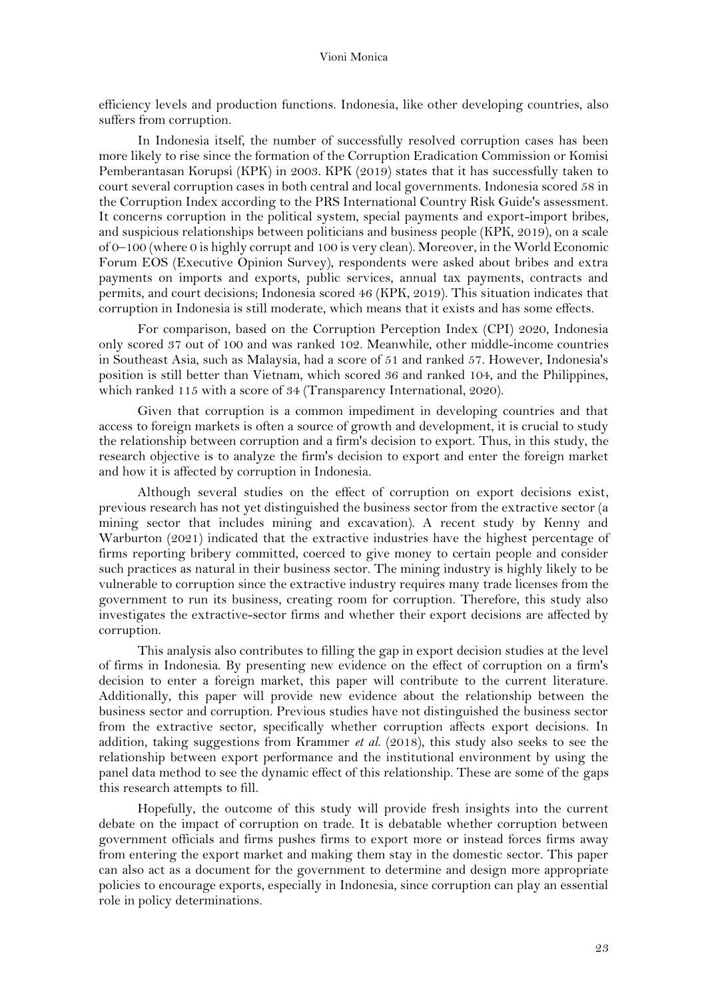efficiency levels and production functions. Indonesia, like other developing countries, also suffers from corruption.

In Indonesia itself, the number of successfully resolved corruption cases has been more likely to rise since the formation of the Corruption Eradication Commission or Komisi Pemberantasan Korupsi (KPK) in 2003. KPK (2019) states that it has successfully taken to court several corruption cases in both central and local governments. Indonesia scored 58 in the Corruption Index according to the PRS International Country Risk Guide's assessment. It concerns corruption in the political system, special payments and export-import bribes, and suspicious relationships between politicians and business people (KPK, 2019), on a scale of 0–100 (where 0 is highly corrupt and 100 is very clean). Moreover, in the World Economic Forum EOS (Executive Opinion Survey), respondents were asked about bribes and extra payments on imports and exports, public services, annual tax payments, contracts and permits, and court decisions; Indonesia scored 46 (KPK, 2019). This situation indicates that corruption in Indonesia is still moderate, which means that it exists and has some effects.

For comparison, based on the Corruption Perception Index (CPI) 2020, Indonesia only scored 37 out of 100 and was ranked 102. Meanwhile, other middle-income countries in Southeast Asia, such as Malaysia, had a score of 51 and ranked 57. However, Indonesia's position is still better than Vietnam, which scored 36 and ranked 104, and the Philippines, which ranked 115 with a score of 34 (Transparency International, 2020).

Given that corruption is a common impediment in developing countries and that access to foreign markets is often a source of growth and development, it is crucial to study the relationship between corruption and a firm's decision to export. Thus, in this study, the research objective is to analyze the firm's decision to export and enter the foreign market and how it is affected by corruption in Indonesia.

Although several studies on the effect of corruption on export decisions exist, previous research has not yet distinguished the business sector from the extractive sector (a mining sector that includes mining and excavation). A recent study by Kenny and Warburton (2021) indicated that the extractive industries have the highest percentage of firms reporting bribery committed, coerced to give money to certain people and consider such practices as natural in their business sector. The mining industry is highly likely to be vulnerable to corruption since the extractive industry requires many trade licenses from the government to run its business, creating room for corruption. Therefore, this study also investigates the extractive-sector firms and whether their export decisions are affected by corruption.

This analysis also contributes to filling the gap in export decision studies at the level of firms in Indonesia. By presenting new evidence on the effect of corruption on a firm's decision to enter a foreign market, this paper will contribute to the current literature. Additionally, this paper will provide new evidence about the relationship between the business sector and corruption. Previous studies have not distinguished the business sector from the extractive sector, specifically whether corruption affects export decisions. In addition, taking suggestions from Krammer *et al*. (2018), this study also seeks to see the relationship between export performance and the institutional environment by using the panel data method to see the dynamic effect of this relationship. These are some of the gaps this research attempts to fill.

Hopefully, the outcome of this study will provide fresh insights into the current debate on the impact of corruption on trade. It is debatable whether corruption between government officials and firms pushes firms to export more or instead forces firms away from entering the export market and making them stay in the domestic sector. This paper can also act as a document for the government to determine and design more appropriate policies to encourage exports, especially in Indonesia, since corruption can play an essential role in policy determinations.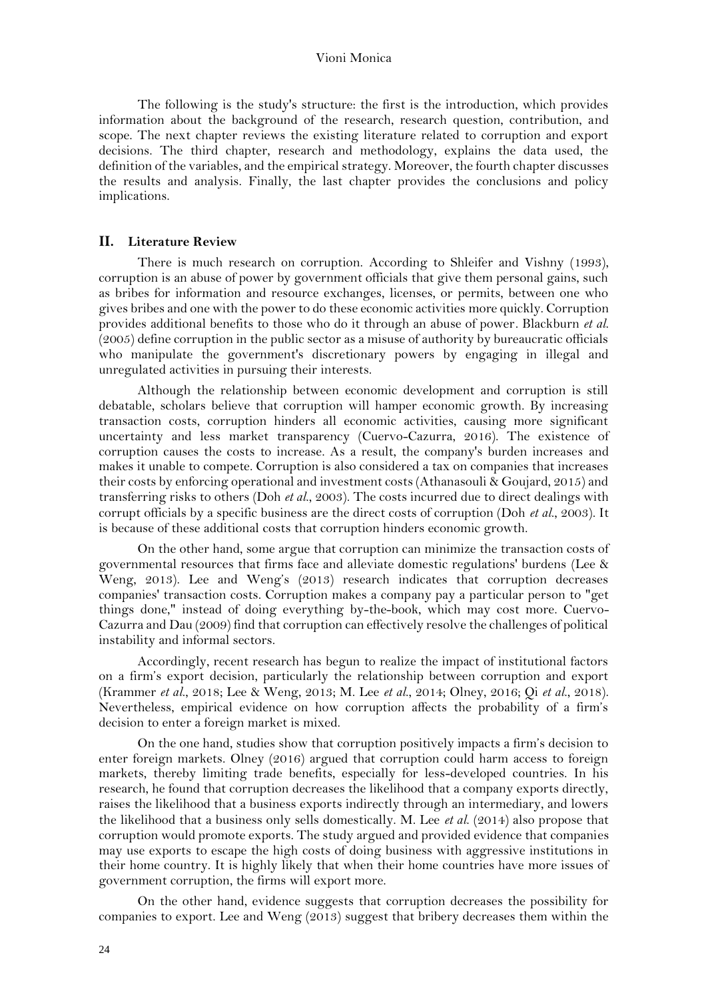The following is the study's structure: the first is the introduction, which provides information about the background of the research, research question, contribution, and scope. The next chapter reviews the existing literature related to corruption and export decisions. The third chapter, research and methodology, explains the data used, the definition of the variables, and the empirical strategy. Moreover, the fourth chapter discusses the results and analysis. Finally, the last chapter provides the conclusions and policy implications.

## **II. Literature Review**

There is much research on corruption. According to Shleifer and Vishny (1993), corruption is an abuse of power by government officials that give them personal gains, such as bribes for information and resource exchanges, licenses, or permits, between one who gives bribes and one with the power to do these economic activities more quickly. Corruption provides additional benefits to those who do it through an abuse of power. Blackburn *et al*. (2005) define corruption in the public sector as a misuse of authority by bureaucratic officials who manipulate the government's discretionary powers by engaging in illegal and unregulated activities in pursuing their interests.

Although the relationship between economic development and corruption is still debatable, scholars believe that corruption will hamper economic growth. By increasing transaction costs, corruption hinders all economic activities, causing more significant uncertainty and less market transparency (Cuervo-Cazurra, 2016). The existence of corruption causes the costs to increase. As a result, the company's burden increases and makes it unable to compete. Corruption is also considered a tax on companies that increases their costs by enforcing operational and investment costs (Athanasouli & Goujard, 2015) and transferring risks to others (Doh *et al*., 2003). The costs incurred due to direct dealings with corrupt officials by a specific business are the direct costs of corruption (Doh *et al*., 2003). It is because of these additional costs that corruption hinders economic growth.

On the other hand, some argue that corruption can minimize the transaction costs of governmental resources that firms face and alleviate domestic regulations' burdens (Lee & Weng, 2013). Lee and Weng's (2013) research indicates that corruption decreases companies' transaction costs. Corruption makes a company pay a particular person to "get things done," instead of doing everything by-the-book, which may cost more. Cuervo-Cazurra and Dau (2009) find that corruption can effectively resolve the challenges of political instability and informal sectors.

Accordingly, recent research has begun to realize the impact of institutional factors on a firm's export decision, particularly the relationship between corruption and export (Krammer *et al*., 2018; Lee & Weng, 2013; M. Lee *et al*., 2014; Olney, 2016; Qi *et al*., 2018). Nevertheless, empirical evidence on how corruption affects the probability of a firm's decision to enter a foreign market is mixed.

On the one hand, studies show that corruption positively impacts a firm's decision to enter foreign markets. Olney (2016) argued that corruption could harm access to foreign markets, thereby limiting trade benefits, especially for less-developed countries. In his research, he found that corruption decreases the likelihood that a company exports directly, raises the likelihood that a business exports indirectly through an intermediary, and lowers the likelihood that a business only sells domestically. M. Lee *et al*. (2014) also propose that corruption would promote exports. The study argued and provided evidence that companies may use exports to escape the high costs of doing business with aggressive institutions in their home country. It is highly likely that when their home countries have more issues of government corruption, the firms will export more.

On the other hand, evidence suggests that corruption decreases the possibility for companies to export. Lee and Weng (2013) suggest that bribery decreases them within the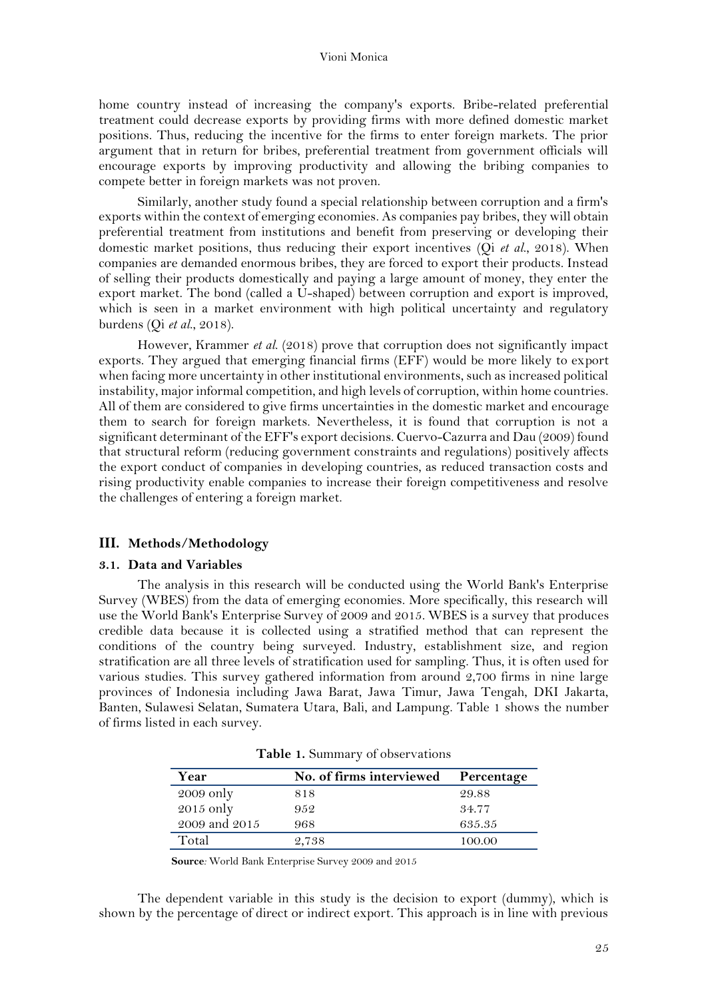home country instead of increasing the company's exports. Bribe-related preferential treatment could decrease exports by providing firms with more defined domestic market positions. Thus, reducing the incentive for the firms to enter foreign markets. The prior argument that in return for bribes, preferential treatment from government officials will encourage exports by improving productivity and allowing the bribing companies to compete better in foreign markets was not proven.

Similarly, another study found a special relationship between corruption and a firm's exports within the context of emerging economies. As companies pay bribes, they will obtain preferential treatment from institutions and benefit from preserving or developing their domestic market positions, thus reducing their export incentives (Qi *et al*., 2018). When companies are demanded enormous bribes, they are forced to export their products. Instead of selling their products domestically and paying a large amount of money, they enter the export market. The bond (called a U-shaped) between corruption and export is improved, which is seen in a market environment with high political uncertainty and regulatory burdens (Qi *et al*., 2018).

However, Krammer *et al*. (2018) prove that corruption does not significantly impact exports. They argued that emerging financial firms (EFF) would be more likely to export when facing more uncertainty in other institutional environments, such as increased political instability, major informal competition, and high levels of corruption, within home countries. All of them are considered to give firms uncertainties in the domestic market and encourage them to search for foreign markets. Nevertheless, it is found that corruption is not a significant determinant of the EFF's export decisions. Cuervo-Cazurra and Dau (2009) found that structural reform (reducing government constraints and regulations) positively affects the export conduct of companies in developing countries, as reduced transaction costs and rising productivity enable companies to increase their foreign competitiveness and resolve the challenges of entering a foreign market.

## **III. Methods/Methodology**

## **3.1. Data and Variables**

The analysis in this research will be conducted using the World Bank's Enterprise Survey (WBES) from the data of emerging economies. More specifically, this research will use the World Bank's Enterprise Survey of 2009 and 2015. WBES is a survey that produces credible data because it is collected using a stratified method that can represent the conditions of the country being surveyed. Industry, establishment size, and region stratification are all three levels of stratification used for sampling. Thus, it is often used for various studies. This survey gathered information from around 2,700 firms in nine large provinces of Indonesia including Jawa Barat, Jawa Timur, Jawa Tengah, DKI Jakarta, Banten, Sulawesi Selatan, Sumatera Utara, Bali, and Lampung. Table 1 shows the number of firms listed in each survey.

| Year          | No. of firms interviewed | Percentage |
|---------------|--------------------------|------------|
| $2009$ only   | 818                      | 29.88      |
| 2015 only     | 952                      | 34.77      |
| 2009 and 2015 | 968                      | 635.35     |
| Total         | 2.738                    | 100.00     |

**Table 1.** Summary of observations

 **Source***:* World Bank Enterprise Survey 2009 and 2015

The dependent variable in this study is the decision to export (dummy), which is shown by the percentage of direct or indirect export. This approach is in line with previous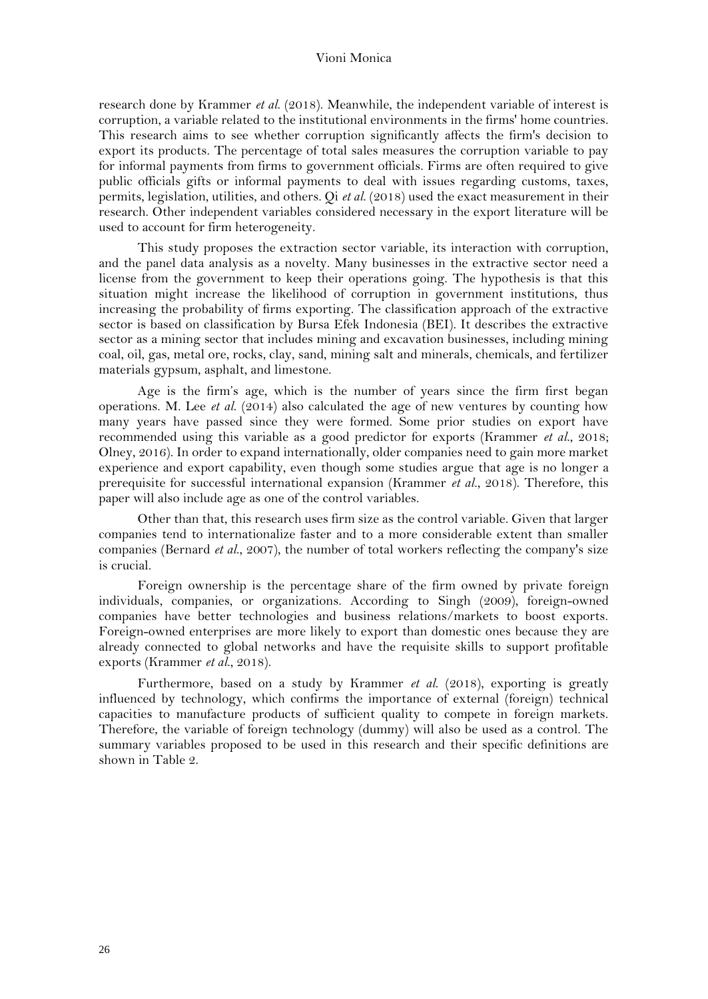research done by Krammer *et al*. (2018). Meanwhile, the independent variable of interest is corruption, a variable related to the institutional environments in the firms' home countries. This research aims to see whether corruption significantly affects the firm's decision to export its products. The percentage of total sales measures the corruption variable to pay for informal payments from firms to government officials. Firms are often required to give public officials gifts or informal payments to deal with issues regarding customs, taxes, permits, legislation, utilities, and others. Qi *et al*. (2018) used the exact measurement in their research. Other independent variables considered necessary in the export literature will be used to account for firm heterogeneity.

This study proposes the extraction sector variable, its interaction with corruption, and the panel data analysis as a novelty. Many businesses in the extractive sector need a license from the government to keep their operations going. The hypothesis is that this situation might increase the likelihood of corruption in government institutions, thus increasing the probability of firms exporting. The classification approach of the extractive sector is based on classification by Bursa Efek Indonesia (BEI). It describes the extractive sector as a mining sector that includes mining and excavation businesses, including mining coal, oil, gas, metal ore, rocks, clay, sand, mining salt and minerals, chemicals, and fertilizer materials gypsum, asphalt, and limestone.

Age is the firm's age, which is the number of years since the firm first began operations. M. Lee *et al*. (2014) also calculated the age of new ventures by counting how many years have passed since they were formed. Some prior studies on export have recommended using this variable as a good predictor for exports (Krammer *et al*., 2018; Olney, 2016). In order to expand internationally, older companies need to gain more market experience and export capability, even though some studies argue that age is no longer a prerequisite for successful international expansion (Krammer *et al*., 2018). Therefore, this paper will also include age as one of the control variables.

Other than that, this research uses firm size as the control variable. Given that larger companies tend to internationalize faster and to a more considerable extent than smaller companies (Bernard *et al*., 2007), the number of total workers reflecting the company's size is crucial.

Foreign ownership is the percentage share of the firm owned by private foreign individuals, companies, or organizations. According to Singh (2009), foreign-owned companies have better technologies and business relations/markets to boost exports. Foreign-owned enterprises are more likely to export than domestic ones because they are already connected to global networks and have the requisite skills to support profitable exports (Krammer *et al*., 2018).

Furthermore, based on a study by Krammer *et al*. (2018), exporting is greatly influenced by technology, which confirms the importance of external (foreign) technical capacities to manufacture products of sufficient quality to compete in foreign markets. Therefore, the variable of foreign technology (dummy) will also be used as a control. The summary variables proposed to be used in this research and their specific definitions are shown in Table 2.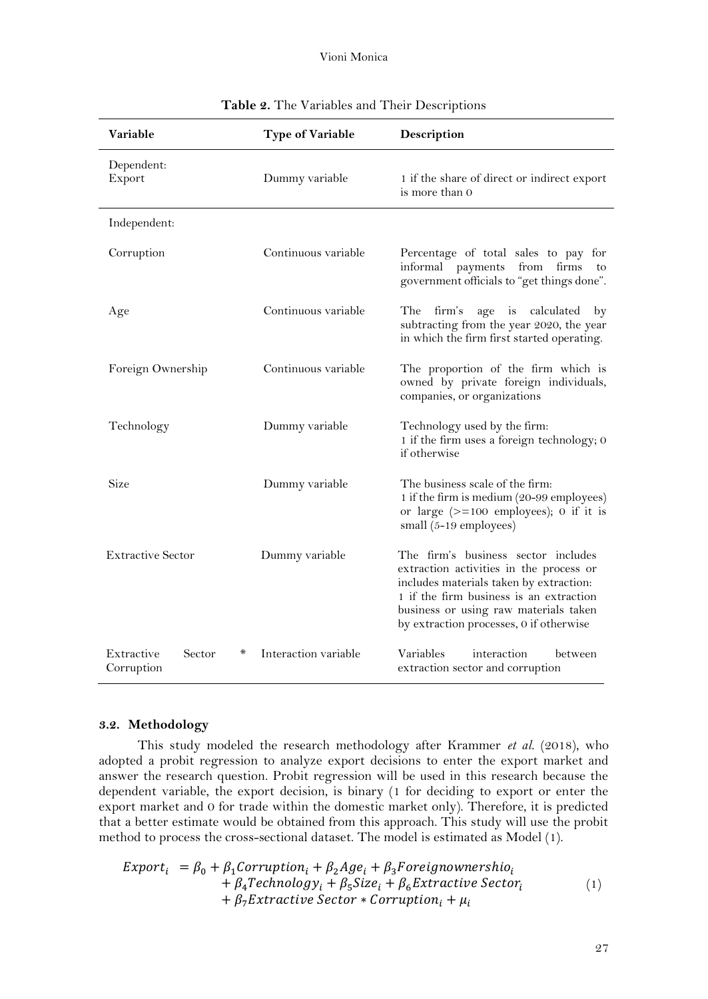| Variable                                | <b>Type of Variable</b> | Description                                                                                                                                                                                                                                              |  |  |
|-----------------------------------------|-------------------------|----------------------------------------------------------------------------------------------------------------------------------------------------------------------------------------------------------------------------------------------------------|--|--|
| Dependent:<br>Export                    | Dummy variable          | 1 if the share of direct or indirect export<br>is more than 0                                                                                                                                                                                            |  |  |
| Independent:                            |                         |                                                                                                                                                                                                                                                          |  |  |
| Corruption                              | Continuous variable     | Percentage of total sales to pay for<br>informal<br>payments<br>from<br>firms<br>to<br>government officials to "get things done".                                                                                                                        |  |  |
| Age                                     | Continuous variable     | The<br>firm's<br>age is calculated by<br>subtracting from the year 2020, the year<br>in which the firm first started operating.                                                                                                                          |  |  |
| Foreign Ownership                       | Continuous variable     | The proportion of the firm which is<br>owned by private foreign individuals,<br>companies, or organizations                                                                                                                                              |  |  |
| Technology                              | Dummy variable          | Technology used by the firm:<br>1 if the firm uses a foreign technology; 0<br>if otherwise                                                                                                                                                               |  |  |
| Size                                    | Dummy variable          | The business scale of the firm:<br>1 if the firm is medium (20-99 employees)<br>or large $(>=100$ employees); 0 if it is<br>small $(5-19$ employees)                                                                                                     |  |  |
| <b>Extractive Sector</b>                | Dummy variable          | The firm's business sector includes<br>extraction activities in the process or<br>includes materials taken by extraction:<br>1 if the firm business is an extraction<br>business or using raw materials taken<br>by extraction processes, 0 if otherwise |  |  |
| Extractive<br>Sector<br>⋇<br>Corruption | Interaction variable    | Variables<br>interaction<br>between<br>extraction sector and corruption                                                                                                                                                                                  |  |  |

|  |  |  |  |  | Table 2. The Variables and Their Descriptions |  |
|--|--|--|--|--|-----------------------------------------------|--|
|--|--|--|--|--|-----------------------------------------------|--|

## **3.2. Methodology**

This study modeled the research methodology after Krammer *et al*. (2018), who adopted a probit regression to analyze export decisions to enter the export market and answer the research question. Probit regression will be used in this research because the dependent variable, the export decision, is binary (1 for deciding to export or enter the export market and 0 for trade within the domestic market only). Therefore, it is predicted that a better estimate would be obtained from this approach. This study will use the probit method to process the cross-sectional dataset. The model is estimated as Model (1).

$$
Export_i = \beta_0 + \beta_1 \text{Corruption}_i + \beta_2 \text{Age}_i + \beta_3 \text{Foreignownershio}_i
$$
  
+  $\beta_4 \text{Technology}_i + \beta_5 \text{Size}_i + \beta_6 \text{Extractive Sector}_i$   
+  $\beta_7 \text{Extractive Sector} * Corruption_i + \mu_i$  (1)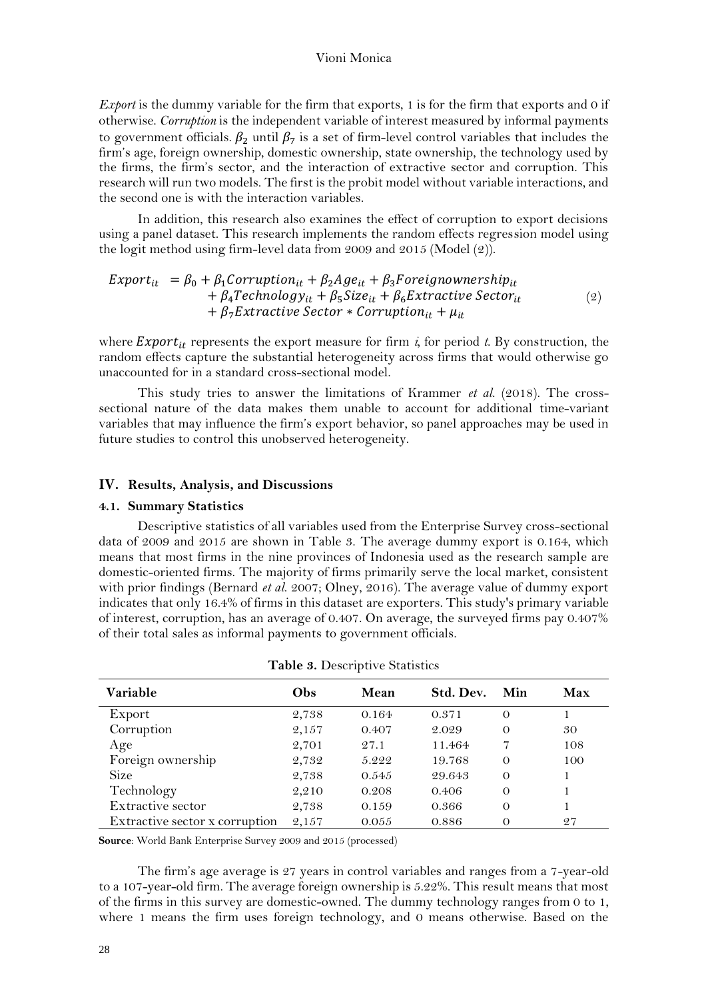*Export* is the dummy variable for the firm that exports, 1 is for the firm that exports and 0 if otherwise. *Corruption* is the independent variable of interest measured by informal payments to government officials.  $\beta_2$  until  $\beta_7$  is a set of firm-level control variables that includes the firm's age, foreign ownership, domestic ownership, state ownership, the technology used by the firms, the firm's sector, and the interaction of extractive sector and corruption. This research will run two models. The first is the probit model without variable interactions, and the second one is with the interaction variables.

In addition, this research also examines the effect of corruption to export decisions using a panel dataset. This research implements the random effects regression model using the logit method using firm-level data from 2009 and 2015 (Model (2)).

$$
Export_{it} = \beta_0 + \beta_1 Corruption_{it} + \beta_2 Age_{it} + \beta_3 Foreign overview + \beta_4 Technology_{it} + \beta_5Size_{it} + \beta_6 Extractive Sector_{it}
$$
  
+ 
$$
\beta_7 Extractive Sector * Corruption_{it} + \mu_{it}
$$
 (2)

where **Export**<sub>it</sub> represents the export measure for firm  $i$ , for period  $t$ . By construction, the random effects capture the substantial heterogeneity across firms that would otherwise go unaccounted for in a standard cross-sectional model.

This study tries to answer the limitations of Krammer *et al*. (2018). The crosssectional nature of the data makes them unable to account for additional time-variant variables that may influence the firm's export behavior, so panel approaches may be used in future studies to control this unobserved heterogeneity.

#### **IV. Results, Analysis, and Discussions**

#### **4.1. Summary Statistics**

Descriptive statistics of all variables used from the Enterprise Survey cross-sectional data of 2009 and 2015 are shown in Table 3. The average dummy export is 0.164, which means that most firms in the nine provinces of Indonesia used as the research sample are domestic-oriented firms. The majority of firms primarily serve the local market, consistent with prior findings (Bernard *et al*. 2007; Olney, 2016). The average value of dummy export indicates that only 16.4% of firms in this dataset are exporters. This study's primary variable of interest, corruption, has an average of 0.407. On average, the surveyed firms pay 0.407% of their total sales as informal payments to government officials.

| Variable                       | Obs   | Mean  | Std. Dev. | Min      | Max |
|--------------------------------|-------|-------|-----------|----------|-----|
| Export                         | 2,738 | 0.164 | 0.371     | $\Omega$ |     |
| Corruption                     | 2,157 | 0.407 | 2.029     | $\Omega$ | 30  |
| Age                            | 2,701 | 27.1  | 11.464    | 7        | 108 |
| Foreign ownership              | 2,732 | 5.222 | 19.768    | $\Omega$ | 100 |
| <b>Size</b>                    | 2,738 | 0.545 | 29.643    | $\Omega$ |     |
| Technology                     | 2,210 | 0.208 | 0.406     | $\Omega$ |     |
| Extractive sector              | 2,738 | 0.159 | 0.366     | $\Omega$ |     |
| Extractive sector x corruption | 2,157 | 0.055 | 0.886     | $\Omega$ | 27  |

**Table 3.** Descriptive Statistics

**Source**: World Bank Enterprise Survey 2009 and 2015 (processed)

The firm's age average is 27 years in control variables and ranges from a 7-year-old to a 107-year-old firm. The average foreign ownership is 5.22%. This result means that most of the firms in this survey are domestic-owned. The dummy technology ranges from 0 to 1, where 1 means the firm uses foreign technology, and 0 means otherwise. Based on the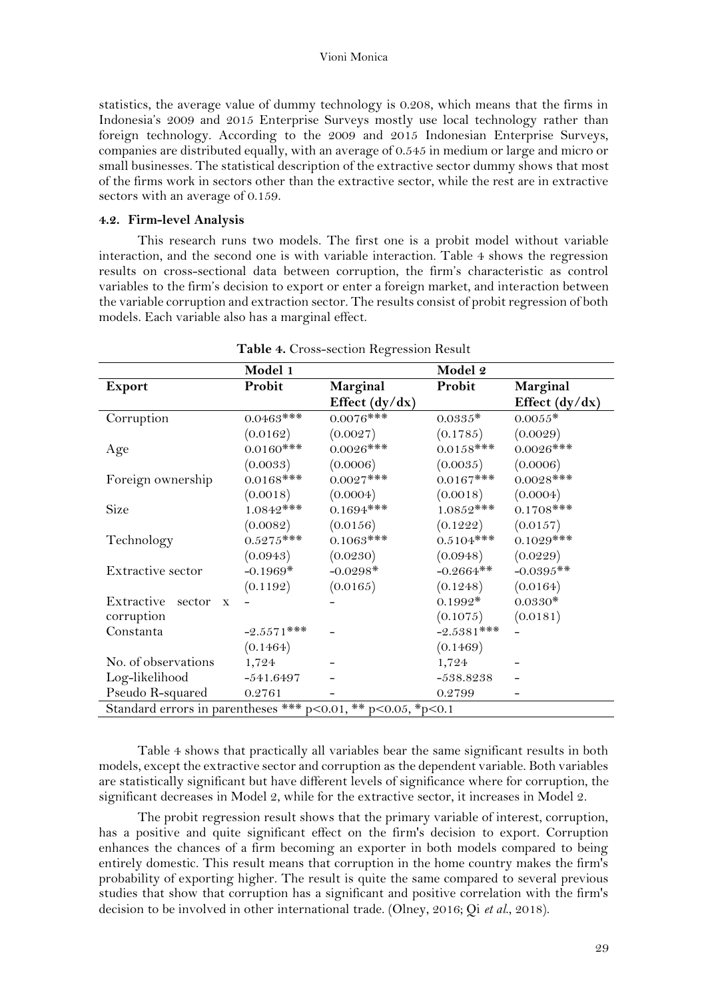statistics, the average value of dummy technology is 0.208, which means that the firms in Indonesia's 2009 and 2015 Enterprise Surveys mostly use local technology rather than foreign technology. According to the 2009 and 2015 Indonesian Enterprise Surveys, companies are distributed equally, with an average of 0.545 in medium or large and micro or small businesses. The statistical description of the extractive sector dummy shows that most of the firms work in sectors other than the extractive sector, while the rest are in extractive sectors with an average of 0.159.

## **4.2. Firm-level Analysis**

This research runs two models. The first one is a probit model without variable interaction, and the second one is with variable interaction. Table 4 shows the regression results on cross-sectional data between corruption, the firm's characteristic as control variables to the firm's decision to export or enter a foreign market, and interaction between the variable corruption and extraction sector. The results consist of probit regression of both models. Each variable also has a marginal effect.

|                                                                    | Model 1       |                  | Model 2      |                |  |  |
|--------------------------------------------------------------------|---------------|------------------|--------------|----------------|--|--|
| <b>Export</b>                                                      | Probit        | Marginal         | Probit       | Marginal       |  |  |
|                                                                    |               | Effect $(dy/dx)$ |              | Effect (dy/dx) |  |  |
| Corruption                                                         | $0.0463***$   | $0.0076$ ***     | $0.0335*$    | $0.0055*$      |  |  |
|                                                                    | (0.0162)      | (0.0027)         | (0.1785)     | (0.0029)       |  |  |
| Age                                                                | $0.0160$ ***  | $0.0026$ ***     | $0.0158***$  | $0.0026$ ***   |  |  |
|                                                                    | (0.0033)      | (0.0006)         | (0.0035)     | (0.0006)       |  |  |
| Foreign ownership                                                  | $0.0168$ ***  | $0.0027***$      | $0.0167***$  | $0.0028***$    |  |  |
|                                                                    | (0.0018)      | (0.0004)         | (0.0018)     | (0.0004)       |  |  |
| Size                                                               | $1.0842***$   | $0.1694***$      | $1.0852***$  | $0.1708$ ***   |  |  |
|                                                                    | (0.0082)      | (0.0156)         | (0.1222)     | (0.0157)       |  |  |
| Technology                                                         | $0.5275***$   | $0.1063$ ***     | $0.5104***$  | $0.1029$ ***   |  |  |
|                                                                    | (0.0943)      | (0.0230)         | (0.0948)     | (0.0229)       |  |  |
| Extractive sector                                                  | $-0.1969*$    | $-0.0298*$       | $-0.2664**$  | $-0.0395**$    |  |  |
|                                                                    | (0.1192)      | (0.0165)         | (0.1248)     | (0.0164)       |  |  |
| Extractive<br>sector<br>$\mathbf{X}$                               |               |                  | $0.1992*$    | $0.0330*$      |  |  |
| corruption                                                         |               |                  | (0.1075)     | (0.0181)       |  |  |
| Constanta                                                          | $-2.5571$ *** |                  | $-2.5381***$ |                |  |  |
|                                                                    | (0.1464)      |                  | (0.1469)     |                |  |  |
| No. of observations                                                | 1,724         |                  | 1,724        |                |  |  |
| Log-likelihood                                                     | $-541.6497$   |                  | $-538.8238$  |                |  |  |
| Pseudo R-squared                                                   | 0.2761        |                  | 0.2799       |                |  |  |
| Standard errors in parentheses *** $p<0.01$ , ** $p<0.05$ , *p<0.1 |               |                  |              |                |  |  |

|  | Table 4. Cross-section Regression Result |  |  |
|--|------------------------------------------|--|--|
|--|------------------------------------------|--|--|

Table 4 shows that practically all variables bear the same significant results in both models, except the extractive sector and corruption as the dependent variable. Both variables are statistically significant but have different levels of significance where for corruption, the significant decreases in Model 2, while for the extractive sector, it increases in Model 2.

The probit regression result shows that the primary variable of interest, corruption, has a positive and quite significant effect on the firm's decision to export. Corruption enhances the chances of a firm becoming an exporter in both models compared to being entirely domestic. This result means that corruption in the home country makes the firm's probability of exporting higher. The result is quite the same compared to several previous studies that show that corruption has a significant and positive correlation with the firm's decision to be involved in other international trade. (Olney, 2016; Qi *et al*., 2018).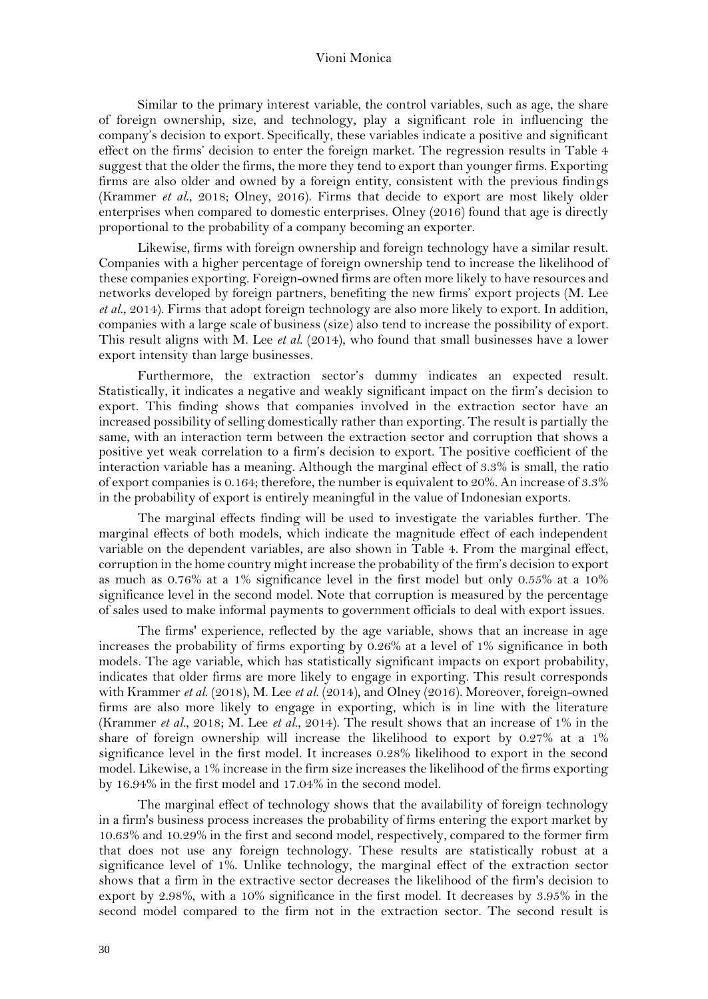Similar to the primary interest variable, the control variables, such as age, the share of foreign ownership, size, and technology, play a significant role in influencing the company's decision to export. Specifically, these variables indicate a positive and significant effect on the firms' decision to enter the foreign market. The regression results in Table 4 suggest that the older the firms, the more they tend to export than younger firms. Exporting firms are also older and owned by a foreign entity, consistent with the previous findings (Krammer *et al*., 2018; Olney, 2016). Firms that decide to export are most likely older enterprises when compared to domestic enterprises. Olney (2016) found that age is directly proportional to the probability of a company becoming an exporter.

Likewise, firms with foreign ownership and foreign technology have a similar result. Companies with a higher percentage of foreign ownership tend to increase the likelihood of these companies exporting. Foreign-owned firms are often more likely to have resources and networks developed by foreign partners, benefiting the new firms' export projects (M. Lee *et al*., 2014). Firms that adopt foreign technology are also more likely to export. In addition, companies with a large scale of business (size) also tend to increase the possibility of export. This result aligns with M. Lee *et al*. (2014), who found that small businesses have a lower export intensity than large businesses.

Furthermore, the extraction sector's dummy indicates an expected result. Statistically, it indicates a negative and weakly significant impact on the firm's decision to export. This finding shows that companies involved in the extraction sector have an increased possibility of selling domestically rather than exporting. The result is partially the same, with an interaction term between the extraction sector and corruption that shows a positive yet weak correlation to a firm's decision to export. The positive coefficient of the interaction variable has a meaning. Although the marginal effect of 3.3% is small, the ratio of export companies is 0.164; therefore, the number is equivalent to 20%. An increase of 3.3% in the probability of export is entirely meaningful in the value of Indonesian exports.

The marginal effects finding will be used to investigate the variables further. The marginal effects of both models, which indicate the magnitude effect of each independent variable on the dependent variables, are also shown in Table 4. From the marginal effect, corruption in the home country might increase the probability of the firm's decision to export as much as 0.76% at a 1% significance level in the first model but only 0.55% at a 10% significance level in the second model. Note that corruption is measured by the percentage of sales used to make informal payments to government officials to deal with export issues.

The firms' experience, reflected by the age variable, shows that an increase in age increases the probability of firms exporting by  $0.26\%$  at a level of 1% significance in both models. The age variable, which has statistically significant impacts on export probability, indicates that older firms are more likely to engage in exporting. This result corresponds with Krammer *et al*. (2018), M. Lee *et al*. (2014), and Olney (2016). Moreover, foreign-owned firms are also more likely to engage in exporting, which is in line with the literature (Krammer *et al*., 2018; M. Lee *et al*., 2014). The result shows that an increase of 1% in the share of foreign ownership will increase the likelihood to export by 0.27% at a 1% significance level in the first model. It increases 0.28% likelihood to export in the second model. Likewise, a 1% increase in the firm size increases the likelihood of the firms exporting by 16.94% in the first model and 17.04% in the second model.

The marginal effect of technology shows that the availability of foreign technology in a firm's business process increases the probability of firms entering the export market by 10.63% and 10.29% in the first and second model, respectively, compared to the former firm that does not use any foreign technology. These results are statistically robust at a significance level of 1%. Unlike technology, the marginal effect of the extraction sector shows that a firm in the extractive sector decreases the likelihood of the firm's decision to export by 2.98%, with a 10% significance in the first model. It decreases by 3.95% in the second model compared to the firm not in the extraction sector. The second result is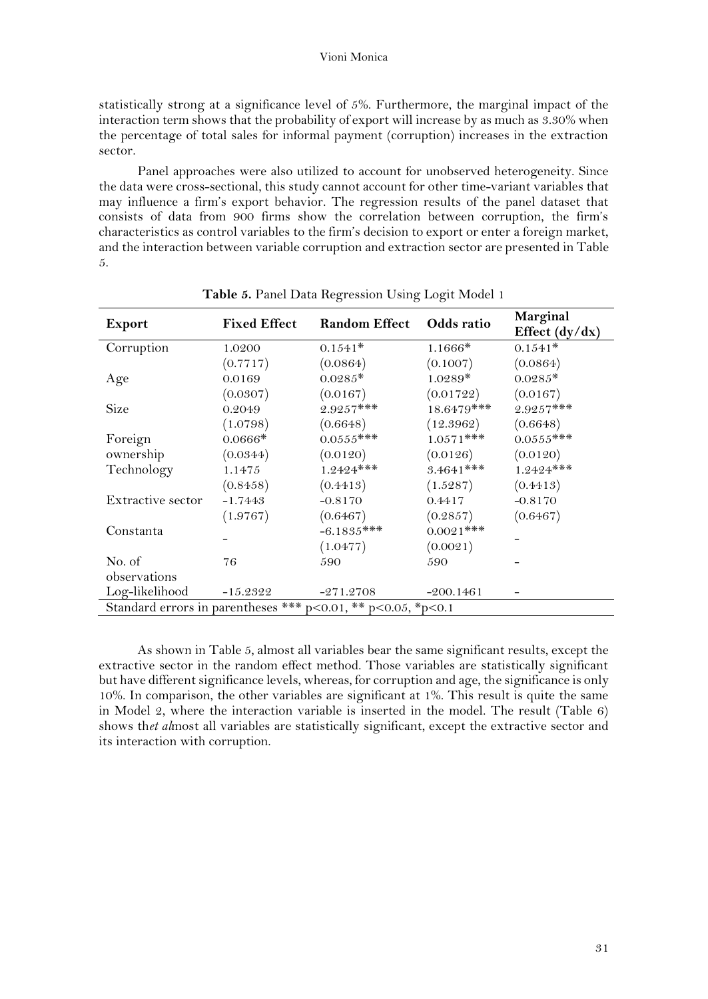statistically strong at a significance level of 5%. Furthermore, the marginal impact of the interaction term shows that the probability of export will increase by as much as 3.30% when the percentage of total sales for informal payment (corruption) increases in the extraction sector.

Panel approaches were also utilized to account for unobserved heterogeneity. Since the data were cross-sectional, this study cannot account for other time-variant variables that may influence a firm's export behavior. The regression results of the panel dataset that consists of data from 900 firms show the correlation between corruption, the firm's characteristics as control variables to the firm's decision to export or enter a foreign market, and the interaction between variable corruption and extraction sector are presented in Table 5.

|                                                                            | <b>Fixed Effect</b> | <b>Random Effect</b> | Odds ratio   | Marginal         |  |
|----------------------------------------------------------------------------|---------------------|----------------------|--------------|------------------|--|
| Export                                                                     |                     |                      |              | Effect $(dy/dx)$ |  |
| Corruption                                                                 | 1.0200              | $0.1541*$            | $1.1666*$    | $0.1541*$        |  |
|                                                                            | (0.7717)            | (0.0864)             | (0.1007)     | (0.0864)         |  |
| Age                                                                        | 0.0169              | $0.0285*$            | $1.0289*$    | $0.0285*$        |  |
|                                                                            | (0.0307)            | (0.0167)             | (0.01722)    | (0.0167)         |  |
| Size                                                                       | 0.2049              | $2.9257***$          | 18.6479***   | $2.9257***$      |  |
|                                                                            | (1.0798)            | (0.6648)             | (12.3962)    | (0.6648)         |  |
| Foreign                                                                    | $0.0666*$           | $0.0555***$          | $1.0571***$  | $0.0555***$      |  |
| ownership                                                                  | (0.0344)            | (0.0120)             | (0.0126)     | (0.0120)         |  |
| Technology                                                                 | 1.1475              | $1.2424$ ***         | $3.4641$ *** | $1.2424***$      |  |
|                                                                            | (0.8458)            | (0.4413)             | (1.5287)     | (0.4413)         |  |
| Extractive sector                                                          | $-1.7443$           | $-0.8170$            | 0.4417       | $-0.8170$        |  |
|                                                                            | (1.9767)            | (0.6467)             | (0.2857)     | (0.6467)         |  |
| Constanta                                                                  |                     | $-6.1835***$         | $0.0021$ *** |                  |  |
|                                                                            |                     | (1.0477)             | (0.0021)     |                  |  |
| No. of                                                                     | 76                  | 590                  | 590          |                  |  |
| observations                                                               |                     |                      |              |                  |  |
| Log-likelihood                                                             | $-15.2322$          | $-271.2708$          | $-200.1461$  |                  |  |
| Standard errors in parentheses *** $p < 0.01$ , ** $p < 0.05$ , *p $< 0.1$ |                     |                      |              |                  |  |

**Table 5.** Panel Data Regression Using Logit Model 1

As shown in Table 5, almost all variables bear the same significant results, except the extractive sector in the random effect method. Those variables are statistically significant but have different significance levels, whereas, for corruption and age, the significance is only 10%. In comparison, the other variables are significant at 1%. This result is quite the same in Model 2, where the interaction variable is inserted in the model. The result (Table 6) shows th*et al*most all variables are statistically significant, except the extractive sector and its interaction with corruption.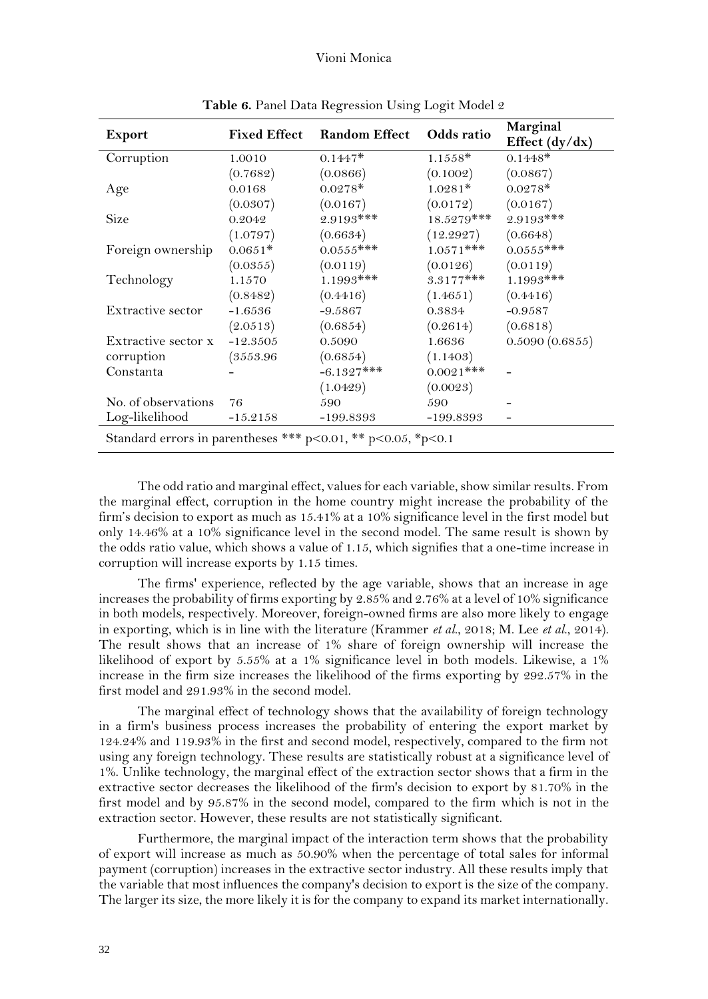| <b>Export</b>                                                         | <b>Fixed Effect</b> | <b>Random Effect</b> | Odds ratio   | Marginal<br>Effect $(dy/dx)$ |  |
|-----------------------------------------------------------------------|---------------------|----------------------|--------------|------------------------------|--|
| Corruption                                                            | 1.0010              | $0.1447*$            | $1.1558*$    | $0.1448*$                    |  |
|                                                                       | (0.7682)            | (0.0866)             | (0.1002)     | (0.0867)                     |  |
| Age                                                                   | 0.0168              | $0.0278*$            | $1.0281*$    | $0.0278*$                    |  |
|                                                                       | (0.0307)            | (0.0167)             | (0.0172)     | (0.0167)                     |  |
| Size                                                                  | 0.2042              | $2.9193$ ***         | $18.5279***$ | $2.9193$ ***                 |  |
|                                                                       | (1.0797)            | (0.6634)             | (12.2927)    | (0.6648)                     |  |
| Foreign ownership                                                     | $0.0651*$           | $0.0555***$          | $1.0571$ *** | $0.0555***$                  |  |
|                                                                       | (0.0355)            | (0.0119)             | (0.0126)     | (0.0119)                     |  |
| Technology                                                            | 1.1570              | $1.1993$ ***         | $3.3177***$  | $1.1993$ ***                 |  |
|                                                                       | (0.8482)            | (0.4416)             | (1.4651)     | (0.4416)                     |  |
| Extractive sector                                                     | $-1.6536$           | $-9.5867$            | 0.3834       | $-0.9587$                    |  |
|                                                                       | (2.0513)            | (0.6854)             | (0.2614)     | (0.6818)                     |  |
| Extractive sector x                                                   | $-12.3505$          | 0.5090               | 1.6636       | 0.5090(0.6855)               |  |
| corruption                                                            | (3553.96)           | (0.6854)             | (1.1403)     |                              |  |
| Constanta                                                             |                     | $-6.1327***$         | $0.0021$ *** |                              |  |
|                                                                       |                     | (1.0429)             | (0.0023)     |                              |  |
| No. of observations                                                   | 76                  | 590                  | 590          |                              |  |
| Log-likelihood                                                        | $-15.2158$          | $-199.8393$          | -199.8393    |                              |  |
| Standard errors in parentheses *** $p<0.01$ , ** $p<0.05$ , * $p<0.1$ |                     |                      |              |                              |  |

**Table 6.** Panel Data Regression Using Logit Model 2

The odd ratio and marginal effect, values for each variable, show similar results. From the marginal effect, corruption in the home country might increase the probability of the firm's decision to export as much as 15.41% at a 10% significance level in the first model but only 14.46% at a 10% significance level in the second model. The same result is shown by the odds ratio value, which shows a value of 1.15, which signifies that a one-time increase in corruption will increase exports by 1.15 times.

The firms' experience, reflected by the age variable, shows that an increase in age increases the probability of firms exporting by 2.85% and 2.76% at a level of 10% significance in both models, respectively. Moreover, foreign-owned firms are also more likely to engage in exporting, which is in line with the literature (Krammer *et al*., 2018; M. Lee *et al*., 2014). The result shows that an increase of 1% share of foreign ownership will increase the likelihood of export by 5.55% at a 1% significance level in both models. Likewise, a 1% increase in the firm size increases the likelihood of the firms exporting by 292.57% in the first model and 291.93% in the second model.

The marginal effect of technology shows that the availability of foreign technology in a firm's business process increases the probability of entering the export market by 124.24% and 119.93% in the first and second model, respectively, compared to the firm not using any foreign technology. These results are statistically robust at a significance level of 1%. Unlike technology, the marginal effect of the extraction sector shows that a firm in the extractive sector decreases the likelihood of the firm's decision to export by 81.70% in the first model and by 95.87% in the second model, compared to the firm which is not in the extraction sector. However, these results are not statistically significant.

Furthermore, the marginal impact of the interaction term shows that the probability of export will increase as much as 50.90% when the percentage of total sales for informal payment (corruption) increases in the extractive sector industry. All these results imply that the variable that most influences the company's decision to export is the size of the company. The larger its size, the more likely it is for the company to expand its market internationally.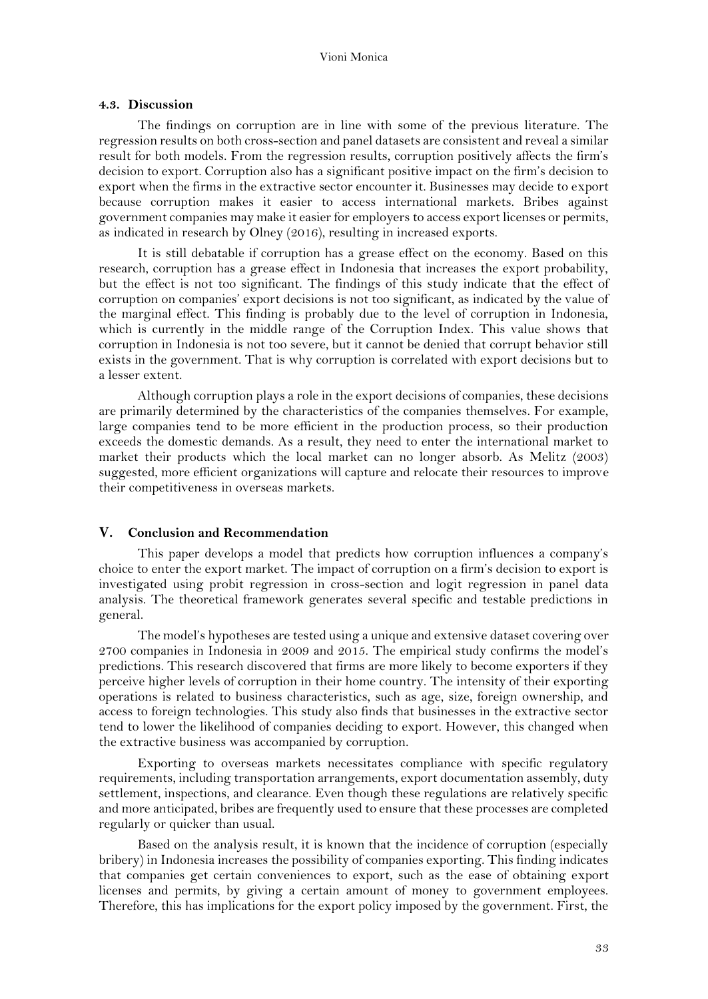#### **4.3. Discussion**

The findings on corruption are in line with some of the previous literature. The regression results on both cross-section and panel datasets are consistent and reveal a similar result for both models. From the regression results, corruption positively affects the firm's decision to export. Corruption also has a significant positive impact on the firm's decision to export when the firms in the extractive sector encounter it. Businesses may decide to export because corruption makes it easier to access international markets. Bribes against government companies may make it easier for employers to access export licenses or permits, as indicated in research by Olney (2016), resulting in increased exports.

It is still debatable if corruption has a grease effect on the economy. Based on this research, corruption has a grease effect in Indonesia that increases the export probability, but the effect is not too significant. The findings of this study indicate that the effect of corruption on companies' export decisions is not too significant, as indicated by the value of the marginal effect. This finding is probably due to the level of corruption in Indonesia, which is currently in the middle range of the Corruption Index. This value shows that corruption in Indonesia is not too severe, but it cannot be denied that corrupt behavior still exists in the government. That is why corruption is correlated with export decisions but to a lesser extent.

Although corruption plays a role in the export decisions of companies, these decisions are primarily determined by the characteristics of the companies themselves. For example, large companies tend to be more efficient in the production process, so their production exceeds the domestic demands. As a result, they need to enter the international market to market their products which the local market can no longer absorb. As Melitz (2003) suggested, more efficient organizations will capture and relocate their resources to improve their competitiveness in overseas markets.

## **V. Conclusion and Recommendation**

This paper develops a model that predicts how corruption influences a company's choice to enter the export market. The impact of corruption on a firm's decision to export is investigated using probit regression in cross-section and logit regression in panel data analysis. The theoretical framework generates several specific and testable predictions in general.

The model's hypotheses are tested using a unique and extensive dataset covering over 2700 companies in Indonesia in 2009 and 2015. The empirical study confirms the model's predictions. This research discovered that firms are more likely to become exporters if they perceive higher levels of corruption in their home country. The intensity of their exporting operations is related to business characteristics, such as age, size, foreign ownership, and access to foreign technologies. This study also finds that businesses in the extractive sector tend to lower the likelihood of companies deciding to export. However, this changed when the extractive business was accompanied by corruption.

Exporting to overseas markets necessitates compliance with specific regulatory requirements, including transportation arrangements, export documentation assembly, duty settlement, inspections, and clearance. Even though these regulations are relatively specific and more anticipated, bribes are frequently used to ensure that these processes are completed regularly or quicker than usual.

Based on the analysis result, it is known that the incidence of corruption (especially bribery) in Indonesia increases the possibility of companies exporting. This finding indicates that companies get certain conveniences to export, such as the ease of obtaining export licenses and permits, by giving a certain amount of money to government employees. Therefore, this has implications for the export policy imposed by the government. First, the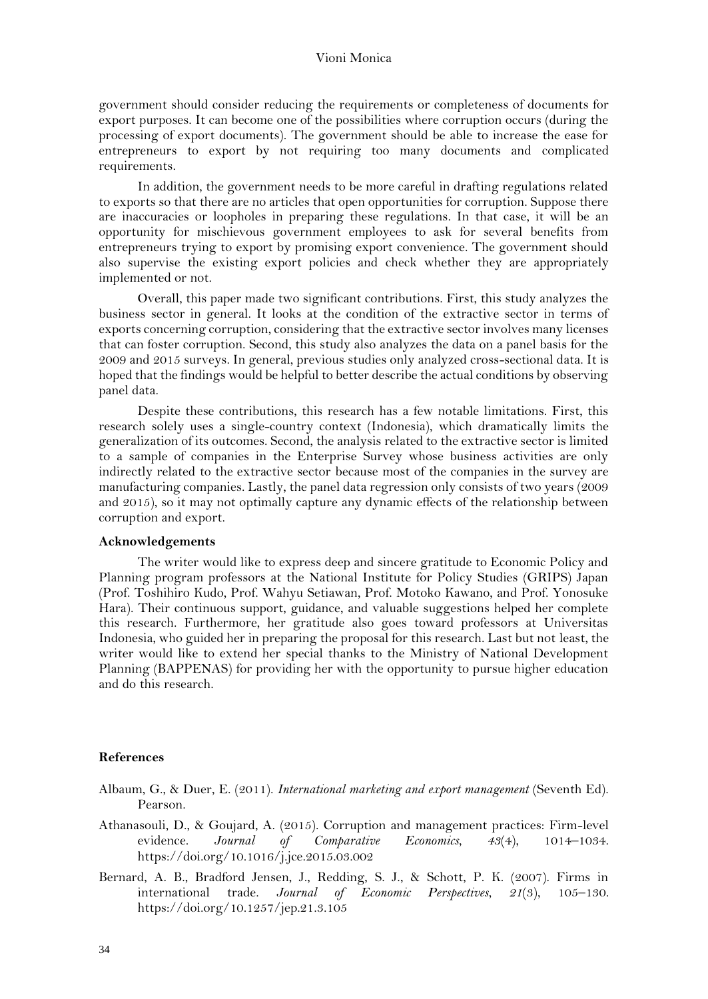government should consider reducing the requirements or completeness of documents for export purposes. It can become one of the possibilities where corruption occurs (during the processing of export documents). The government should be able to increase the ease for entrepreneurs to export by not requiring too many documents and complicated requirements.

In addition, the government needs to be more careful in drafting regulations related to exports so that there are no articles that open opportunities for corruption. Suppose there are inaccuracies or loopholes in preparing these regulations. In that case, it will be an opportunity for mischievous government employees to ask for several benefits from entrepreneurs trying to export by promising export convenience. The government should also supervise the existing export policies and check whether they are appropriately implemented or not.

Overall, this paper made two significant contributions. First, this study analyzes the business sector in general. It looks at the condition of the extractive sector in terms of exports concerning corruption, considering that the extractive sector involves many licenses that can foster corruption. Second, this study also analyzes the data on a panel basis for the 2009 and 2015 surveys. In general, previous studies only analyzed cross-sectional data. It is hoped that the findings would be helpful to better describe the actual conditions by observing panel data.

Despite these contributions, this research has a few notable limitations. First, this research solely uses a single-country context (Indonesia), which dramatically limits the generalization of its outcomes. Second, the analysis related to the extractive sector is limited to a sample of companies in the Enterprise Survey whose business activities are only indirectly related to the extractive sector because most of the companies in the survey are manufacturing companies. Lastly, the panel data regression only consists of two years (2009 and 2015), so it may not optimally capture any dynamic effects of the relationship between corruption and export.

## **Acknowledgements**

The writer would like to express deep and sincere gratitude to Economic Policy and Planning program professors at the National Institute for Policy Studies (GRIPS) Japan (Prof. Toshihiro Kudo, Prof. Wahyu Setiawan, Prof. Motoko Kawano, and Prof. Yonosuke Hara). Their continuous support, guidance, and valuable suggestions helped her complete this research. Furthermore, her gratitude also goes toward professors at Universitas Indonesia, who guided her in preparing the proposal for this research. Last but not least, the writer would like to extend her special thanks to the Ministry of National Development Planning (BAPPENAS) for providing her with the opportunity to pursue higher education and do this research.

## **References**

- Albaum, G., & Duer, E. (2011). *International marketing and export management* (Seventh Ed). Pearson.
- Athanasouli, D., & Goujard, A. (2015). Corruption and management practices: Firm-level evidence. *Journal of Comparative Economics*, *43*(4), 1014–1034. https://doi.org/10.1016/j.jce.2015.03.002
- Bernard, A. B., Bradford Jensen, J., Redding, S. J., & Schott, P. K. (2007). Firms in international trade. *Journal of Economic Perspectives*, *21*(3), 105–130. https://doi.org/10.1257/jep.21.3.105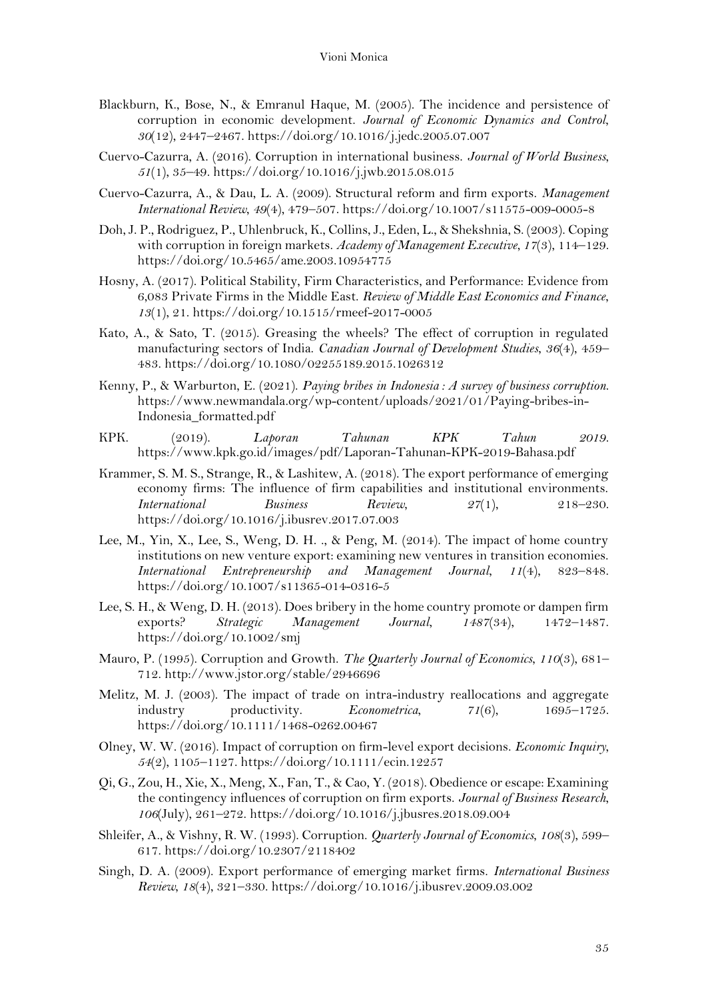- Blackburn, K., Bose, N., & Emranul Haque, M. (2005). The incidence and persistence of corruption in economic development. *Journal of Economic Dynamics and Control*, *30*(12), 2447–2467. https://doi.org/10.1016/j.jedc.2005.07.007
- Cuervo-Cazurra, A. (2016). Corruption in international business. *Journal of World Business*, *51*(1), 35–49. https://doi.org/10.1016/j.jwb.2015.08.015
- Cuervo-Cazurra, A., & Dau, L. A. (2009). Structural reform and firm exports. *Management International Review*, *49*(4), 479–507. https://doi.org/10.1007/s11575-009-0005-8
- Doh, J. P., Rodriguez, P., Uhlenbruck, K., Collins, J., Eden, L., & Shekshnia, S. (2003). Coping with corruption in foreign markets. *Academy of Management Executive*, *17*(3), 114–129. https://doi.org/10.5465/ame.2003.10954775
- Hosny, A. (2017). Political Stability, Firm Characteristics, and Performance: Evidence from 6,083 Private Firms in the Middle East. *Review of Middle East Economics and Finance*, *13*(1), 21. https://doi.org/10.1515/rmeef-2017-0005
- Kato, A., & Sato, T. (2015). Greasing the wheels? The effect of corruption in regulated manufacturing sectors of India. *Canadian Journal of Development Studies*, *36*(4), 459– 483. https://doi.org/10.1080/02255189.2015.1026312
- Kenny, P., & Warburton, E. (2021). *Paying bribes in Indonesia : A survey of business corruption*. https://www.newmandala.org/wp-content/uploads/2021/01/Paying-bribes-in-Indonesia\_formatted.pdf
- KPK. (2019). *Laporan Tahunan KPK Tahun 2019*. https://www.kpk.go.id/images/pdf/Laporan-Tahunan-KPK-2019-Bahasa.pdf
- Krammer, S. M. S., Strange, R., & Lashitew, A. (2018). The export performance of emerging economy firms: The influence of firm capabilities and institutional environments. *International Business Review*, *27*(1), 218–230. https://doi.org/10.1016/j.ibusrev.2017.07.003
- Lee, M., Yin, X., Lee, S., Weng, D. H. ., & Peng, M. (2014). The impact of home country institutions on new venture export: examining new ventures in transition economies. *International Entrepreneurship and Management Journal*, *11*(4), 823–848. https://doi.org/10.1007/s11365-014-0316-5
- Lee, S. H., & Weng, D. H. (2013). Does bribery in the home country promote or dampen firm exports? *Strategic Management Journal*, *1487*(34), 1472–1487. https://doi.org/10.1002/smj
- Mauro, P. (1995). Corruption and Growth. *The Quarterly Journal of Economics*, *110*(3), 681– 712. http://www.jstor.org/stable/2946696
- Melitz, M. J. (2003). The impact of trade on intra-industry reallocations and aggregate industry productivity. *Econometrica*, *71*(6), 1695–1725. https://doi.org/10.1111/1468-0262.00467
- Olney, W. W. (2016). Impact of corruption on firm-level export decisions. *Economic Inquiry*, *54*(2), 1105–1127. https://doi.org/10.1111/ecin.12257
- Qi, G., Zou, H., Xie, X., Meng, X., Fan, T., & Cao, Y. (2018). Obedience or escape: Examining the contingency influences of corruption on firm exports. *Journal of Business Research*, *106*(July), 261–272. https://doi.org/10.1016/j.jbusres.2018.09.004
- Shleifer, A., & Vishny, R. W. (1993). Corruption. *Quarterly Journal of Economics*, *108*(3), 599– 617. https://doi.org/10.2307/2118402
- Singh, D. A. (2009). Export performance of emerging market firms. *International Business Review*, *18*(4), 321–330.<https://doi.org/10.1016/j.ibusrev.2009.03.002>